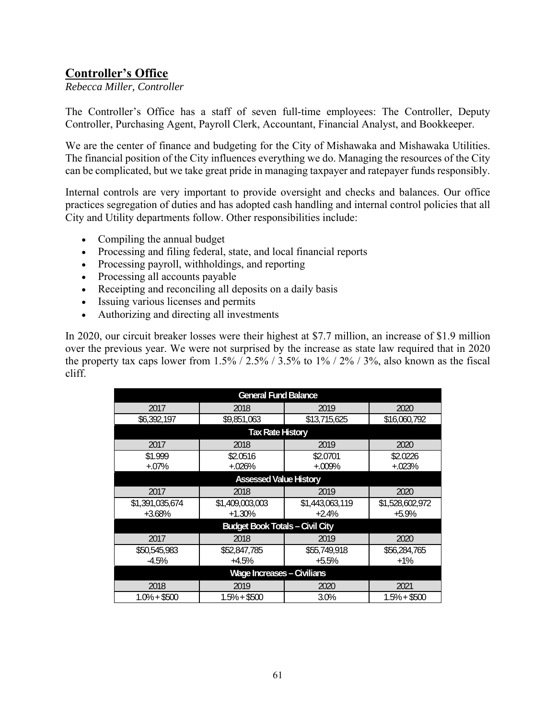## **Controller's Office**

*Rebecca Miller, Controller* 

The Controller's Office has a staff of seven full-time employees: The Controller, Deputy Controller, Purchasing Agent, Payroll Clerk, Accountant, Financial Analyst, and Bookkeeper.

We are the center of finance and budgeting for the City of Mishawaka and Mishawaka Utilities. The financial position of the City influences everything we do. Managing the resources of the City can be complicated, but we take great pride in managing taxpayer and ratepayer funds responsibly.

Internal controls are very important to provide oversight and checks and balances. Our office practices segregation of duties and has adopted cash handling and internal control policies that all City and Utility departments follow. Other responsibilities include:

- Compiling the annual budget
- Processing and filing federal, state, and local financial reports
- Processing payroll, withholdings, and reporting
- Processing all accounts payable
- Receipting and reconciling all deposits on a daily basis
- Issuing various licenses and permits
- Authorizing and directing all investments

In 2020, our circuit breaker losses were their highest at \$7.7 million, an increase of \$1.9 million over the previous year. We were not surprised by the increase as state law required that in 2020 the property tax caps lower from  $1.5\%$  /  $2.5\%$  /  $3.5\%$  to  $1\%$  /  $2\%$  /  $3\%$ , also known as the fiscal cliff.

| <b>General Fund Balance</b>            |                 |                 |                 |
|----------------------------------------|-----------------|-----------------|-----------------|
| 2017                                   | 2018            | 2019            | 2020            |
| \$6,392,197                            | \$9,851,063     | \$13,715,625    | \$16,060,792    |
| <b>Tax Rate History</b>                |                 |                 |                 |
| 2017                                   | 2018            | 2019            | 2020            |
| \$1.999                                | \$2.0516        | \$2.0701        | \$2.0226        |
| $+.07%$                                | $+.026%$        | $+.009\%$       | $+.023%$        |
| <b>Assessed Value History</b>          |                 |                 |                 |
| 2017                                   | 2018            | 2019            | 2020            |
| \$1,391,035,674                        | \$1,409,003,003 | \$1,443,063,119 | \$1,528,602,972 |
| $+3.68%$                               | $+1.30%$        | $+2.4%$         | $+5.9%$         |
| <b>Budget Book Totals - Civil City</b> |                 |                 |                 |
| 2017                                   | 2018            | 2019            | 2020            |
| \$50,545,983                           | \$52,847,785    | \$55,749,918    | \$56,284,765    |
| $-4.5%$                                | $+4.5%$         | $+5.5%$         | $+1\%$          |
| <b>Wage Increases - Civilians</b>      |                 |                 |                 |
| 2018                                   | 2019            | 2020            | 2021            |
| 1.0% + \$500                           | 1.5% + \$500    | 3.0%            | $1.5\% + $500$  |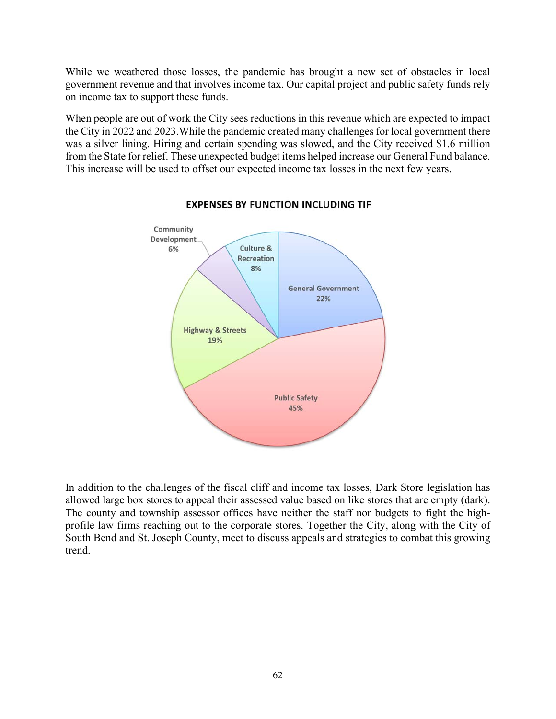While we weathered those losses, the pandemic has brought a new set of obstacles in local government revenue and that involves income tax. Our capital project and public safety funds rely on income tax to support these funds.

When people are out of work the City sees reductions in this revenue which are expected to impact the City in 2022 and 2023.While the pandemic created many challenges for local government there was a silver lining. Hiring and certain spending was slowed, and the City received \$1.6 million from the State for relief. These unexpected budget items helped increase our General Fund balance. This increase will be used to offset our expected income tax losses in the next few years.



## **EXPENSES BY FUNCTION INCLUDING TIF**

In addition to the challenges of the fiscal cliff and income tax losses, Dark Store legislation has allowed large box stores to appeal their assessed value based on like stores that are empty (dark). The county and township assessor offices have neither the staff nor budgets to fight the highprofile law firms reaching out to the corporate stores. Together the City, along with the City of South Bend and St. Joseph County, meet to discuss appeals and strategies to combat this growing trend.